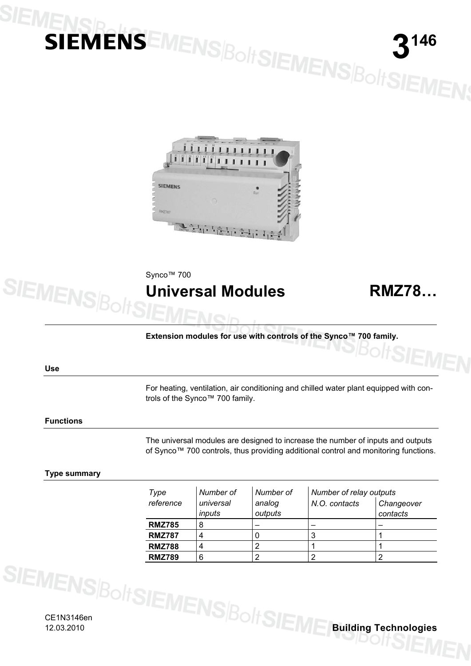### SIF **IENSRENS EMENSBOITSIEMENSBOITSIEI**



Synco<sup>™</sup> 700

### **Universal Modules RMZ78…**

**Extension modules for use with controls of the Synco™ 700 family.** 

### **Use**

**SIEMEI** 

For heating, ventilation, air conditioning and chilled water plant equipped with controls of the Synco™ 700 family.

### **Functions**

The universal modules are designed to increase the number of inputs and outputs of Synco™ 700 controls, thus providing additional control and monitoring functions.

### **Type summary**

| Type          | Number of | Number of | Number of relay outputs |            |
|---------------|-----------|-----------|-------------------------|------------|
| reference     | universal | analog    | N.O. contacts           | Changeover |
|               | inputs    | outputs   |                         | contacts   |
| <b>RMZ785</b> |           |           |                         |            |
| <b>RMZ787</b> |           |           |                         |            |
| <b>RMZ788</b> |           |           |                         |            |
| <b>RMZ789</b> | 6         |           |                         |            |

CE1N3146en 12.03.2010 **Building Technologies**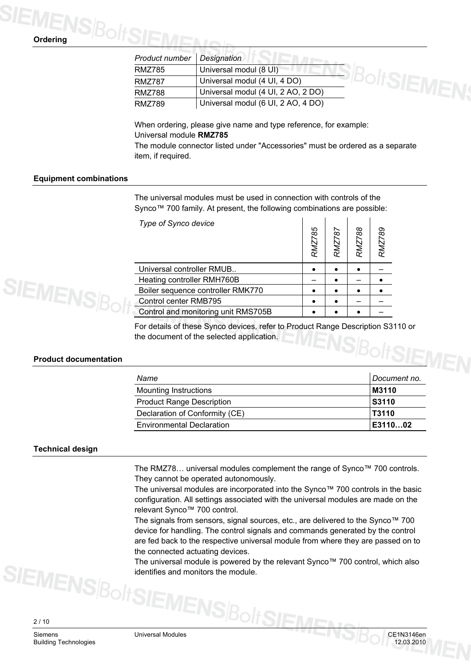**Ordering** 

| Product number | Designation                        |  |
|----------------|------------------------------------|--|
| <b>RMZ785</b>  | Universal modul (8 UI)             |  |
| RMZ787         | Universal modul (4 UI, 4 DO)       |  |
| RMZ788         | Universal modul (4 UI, 2 AO, 2 DO) |  |
| RMZ789         | Universal modul (6 UI, 2 AO, 4 DO) |  |

When ordering, please give name and type reference, for example: Universal module **RMZ785**

The module connector listed under "Accessories" must be ordered as a separate item, if required.

### **Equipment combinations**

The universal modules must be used in connection with controls of the Synco™ 700 family. At present, the following combinations are possible:

| Type of Synco device                | 85<br><b>RMZ</b> | 56<br>RMZ. | 88<br>RMZ | 89 |
|-------------------------------------|------------------|------------|-----------|----|
| Universal controller RMUB           |                  |            |           |    |
| Heating controller RMH760B          |                  |            |           |    |
| Boiler sequence controller RMK770   |                  |            |           |    |
| Control center RMB795               |                  |            |           |    |
| Control and monitoring unit RMS705B |                  |            |           |    |

For details of these Synco devices, refer to Product Range Description S3110 or the document of the selected application. SBoltSIEMEN

### **Product documentation**

| Name                             | Document no. |
|----------------------------------|--------------|
| <b>Mounting Instructions</b>     | M3110        |
| <b>Product Range Description</b> | S3110        |
| Declaration of Conformity (CE)   | T3110        |
| <b>Environmental Declaration</b> | E311002      |

### **Technical design**

The RMZ78… universal modules complement the range of Synco™ 700 controls. They cannot be operated autonomously.

The universal modules are incorporated into the Synco™ 700 controls in the basic configuration. All settings associated with the universal modules are made on the relevant Synco™ 700 control.

The signals from sensors, signal sources, etc., are delivered to the Synco™ 700 device for handling. The control signals and commands generated by the control are fed back to the respective universal module from where they are passed on to the connected actuating devices.

The universal module is powered by the relevant Synco™ 700 control, which also identifies and monitors the module.

2 / 10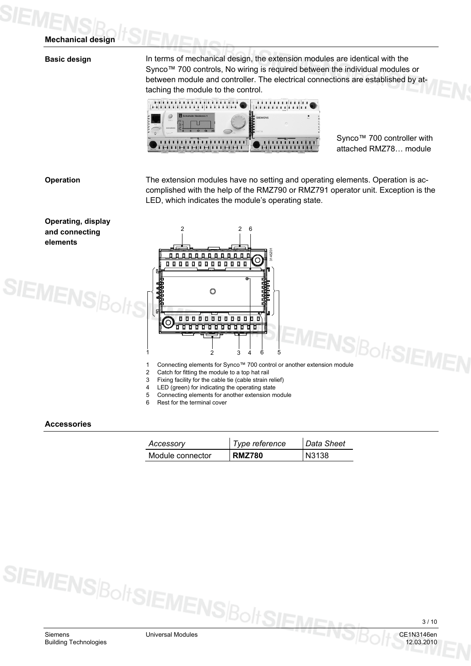### **Mechanical design**

### **Basic design**

In terms of mechanical design, the extension modules are identical with the Synco™ 700 controls, No wiring is required between the individual modules or between module and controller. The electrical connections are established by attaching the module to the control.



Synco™ 700 controller with attached RMZ78… module

### **Operation**

**SIEMENS** 

The extension modules have no setting and operating elements. Operation is accomplished with the help of the RMZ790 or RMZ791 operator unit. Exception is the LED, which indicates the module's operating state.

**Operating, display and connecting elements** 



- 
- 2 Catch for fitting the module to a top hat rail
- 3 Fixing facility for the cable tie (cable strain relief)
- 4 LED (green) for indicating the operating state
- 5 Connecting elements for another extension module
- 6 Rest for the terminal cover

### **Accessories**

| Accessory        | Type reference | Data Sheet |
|------------------|----------------|------------|
| Module connector | <b>RMZ780</b>  | N3138      |

SIEMENS|BoltSIEMENS|Bolt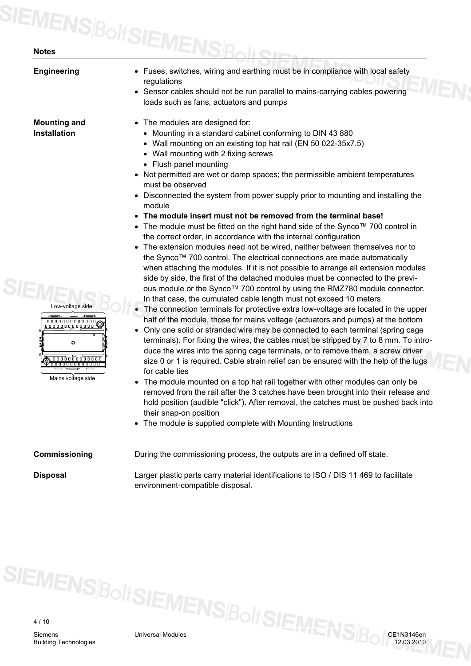## **SIEMENS**BoltSIEMENSBO

| <b>Notes</b>                                                                                                                      |                                                                                                                                                                                                                                                                                                                                                                                                                                                                                                                                                                                                                                                                                                                                                                                                                                                                                                                                                                                                                                                                                                                                                                                                                                                                                                                                                                                                                                                                                                                                                                                                                                                                                                                                                                                                                                                                                                                                                                                                                                                                          |
|-----------------------------------------------------------------------------------------------------------------------------------|--------------------------------------------------------------------------------------------------------------------------------------------------------------------------------------------------------------------------------------------------------------------------------------------------------------------------------------------------------------------------------------------------------------------------------------------------------------------------------------------------------------------------------------------------------------------------------------------------------------------------------------------------------------------------------------------------------------------------------------------------------------------------------------------------------------------------------------------------------------------------------------------------------------------------------------------------------------------------------------------------------------------------------------------------------------------------------------------------------------------------------------------------------------------------------------------------------------------------------------------------------------------------------------------------------------------------------------------------------------------------------------------------------------------------------------------------------------------------------------------------------------------------------------------------------------------------------------------------------------------------------------------------------------------------------------------------------------------------------------------------------------------------------------------------------------------------------------------------------------------------------------------------------------------------------------------------------------------------------------------------------------------------------------------------------------------------|
| <b>Engineering</b>                                                                                                                | • Fuses, switches, wiring and earthing must be in compliance with local safety<br>regulations<br>• Sensor cables should not be run parallel to mains-carrying cables powering<br>loads such as fans, actuators and pumps                                                                                                                                                                                                                                                                                                                                                                                                                                                                                                                                                                                                                                                                                                                                                                                                                                                                                                                                                                                                                                                                                                                                                                                                                                                                                                                                                                                                                                                                                                                                                                                                                                                                                                                                                                                                                                                 |
| <b>Mounting and</b><br>Installation<br>Low-voltage side<br>000000000000<br><u>0000000000000</u><br><u>.</u><br>Mains voltage side | • The modules are designed for:<br>• Mounting in a standard cabinet conforming to DIN 43 880<br>• Wall mounting on an existing top hat rail (EN 50 022-35x7.5)<br>• Wall mounting with 2 fixing screws<br>• Flush panel mounting<br>• Not permitted are wet or damp spaces; the permissible ambient temperatures<br>must be observed<br>Disconnected the system from power supply prior to mounting and installing the<br>module<br>The module insert must not be removed from the terminal base!<br>• The module must be fitted on the right hand side of the Synco <sup>TM</sup> 700 control in<br>the correct order, in accordance with the internal configuration<br>The extension modules need not be wired, neither between themselves nor to<br>the Synco™ 700 control. The electrical connections are made automatically<br>when attaching the modules. If it is not possible to arrange all extension modules<br>side by side, the first of the detached modules must be connected to the previ-<br>ous module or the Synco™ 700 control by using the RMZ780 module connector.<br>In that case, the cumulated cable length must not exceed 10 meters<br>The connection terminals for protective extra low-voltage are located in the upper<br>half of the module, those for mains voltage (actuators and pumps) at the bottom<br>Only one solid or stranded wire may be connected to each terminal (spring cage<br>terminals). For fixing the wires, the cables must be stripped by 7 to 8 mm. To intro-<br>duce the wires into the spring cage terminals, or to remove them, a screw driver<br>size 0 or 1 is required. Cable strain relief can be ensured with the help of the lugs<br>for cable ties<br>The module mounted on a top hat rail together with other modules can only be<br>removed from the rail after the 3 catches have been brought into their release and<br>hold position (audible "click"). After removal, the catches must be pushed back into<br>their snap-on position<br>• The module is supplied complete with Mounting Instructions |
| Commissioning                                                                                                                     | During the commissioning process, the outputs are in a defined off state.                                                                                                                                                                                                                                                                                                                                                                                                                                                                                                                                                                                                                                                                                                                                                                                                                                                                                                                                                                                                                                                                                                                                                                                                                                                                                                                                                                                                                                                                                                                                                                                                                                                                                                                                                                                                                                                                                                                                                                                                |

**Disposal** Larger plastic parts carry material identifications to ISO / DIS 11 469 to facilitate environment-compatible disposal.

4 / 10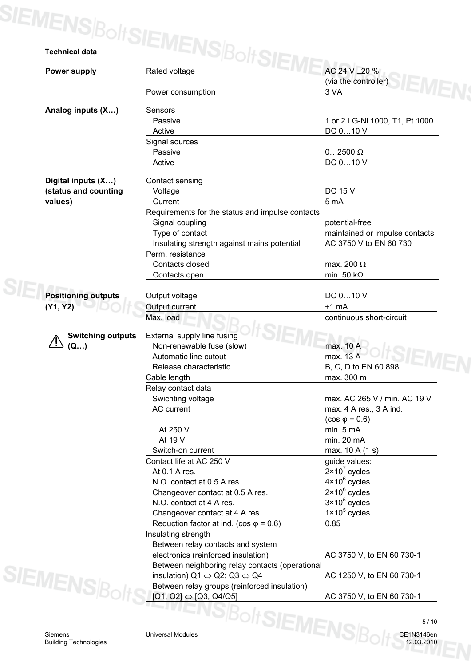| <b>Power supply</b>             | Rated voltage                                                                                               | AC 24 V ±20 %<br>(via the controller)          |
|---------------------------------|-------------------------------------------------------------------------------------------------------------|------------------------------------------------|
|                                 | Power consumption                                                                                           | 3 VA                                           |
| Analog inputs (X)               | Sensors                                                                                                     |                                                |
|                                 | Passive                                                                                                     | 1 or 2 LG-Ni 1000, T1, Pt 1000                 |
|                                 | Active                                                                                                      | DC 010 V                                       |
|                                 | Signal sources                                                                                              |                                                |
|                                 | Passive                                                                                                     | $02500 \Omega$                                 |
|                                 | Active                                                                                                      | DC 010 V                                       |
| Digital inputs (X)              | Contact sensing                                                                                             |                                                |
| (status and counting            | Voltage                                                                                                     | <b>DC 15 V</b>                                 |
| values)                         | Current                                                                                                     | 5 mA                                           |
|                                 | Requirements for the status and impulse contacts                                                            |                                                |
|                                 | Signal coupling                                                                                             | potential-free                                 |
|                                 | Type of contact                                                                                             | maintained or impulse contacts                 |
|                                 | Insulating strength against mains potential                                                                 | AC 3750 V to EN 60 730                         |
|                                 | Perm. resistance                                                                                            |                                                |
|                                 | Contacts closed                                                                                             | max. 200 $\Omega$                              |
|                                 | Contacts open                                                                                               | min. 50 k $\Omega$                             |
|                                 |                                                                                                             |                                                |
| <b>Positioning outputs</b>      | Output voltage                                                                                              | DC 010 V                                       |
| (Y1, Y2)                        | Output current                                                                                              | $±1$ mA                                        |
|                                 | Max. load                                                                                                   | continuous short-circuit                       |
| <b>Switching outputs</b><br>(Q) | External supply line fusing<br>Non-renewable fuse (slow)<br>Automatic line cutout<br>Release characteristic | max. 10 A<br>max. 13 A<br>B, C, D to EN 60 898 |
|                                 | Cable length                                                                                                | max. 300 m                                     |
|                                 | Relay contact data                                                                                          |                                                |
|                                 | Swichting voltage                                                                                           | max, AC 265 V / min, AC 19 V                   |
|                                 | AC current                                                                                                  | max. 4 A res., 3 A ind.                        |
|                                 |                                                                                                             | $(cos \varphi = 0.6)$                          |
|                                 | At 250 V                                                                                                    | min. 5 mA                                      |
|                                 | At 19 V                                                                                                     | min. 20 mA                                     |
|                                 | Switch-on current                                                                                           | max. 10 A (1 s)                                |
|                                 | Contact life at AC 250 V                                                                                    | guide values:                                  |
|                                 | At 0.1 A res.                                                                                               | $2 \times 10^7$ cycles                         |
|                                 | N.O. contact at 0.5 A res.                                                                                  | $4 \times 10^6$ cycles                         |
|                                 | Changeover contact at 0.5 A res.                                                                            | $2 \times 10^6$ cycles                         |
|                                 | N.O. contact at 4 A res.                                                                                    | $3 \times 10^5$ cycles                         |
|                                 | Changeover contact at 4 A res.                                                                              | $1 \times 10^5$ cycles                         |
|                                 | Reduction factor at ind. (cos $\varphi$ = 0,6)                                                              | 0.85                                           |
|                                 | Insulating strength                                                                                         |                                                |
|                                 | Between relay contacts and system                                                                           |                                                |
|                                 | electronics (reinforced insulation)                                                                         | AC 3750 V, to EN 60 730-1                      |
|                                 | Between neighboring relay contacts (operational                                                             |                                                |
|                                 |                                                                                                             | AC 1250 V, to EN 60 730-1                      |
|                                 | insulation) $Q1 \Leftrightarrow Q2$ ; $Q3 \Leftrightarrow Q4$                                               |                                                |
| $\epsilon$ MENS $_{B\rm C}$     | Between relay groups (reinforced insulation)                                                                |                                                |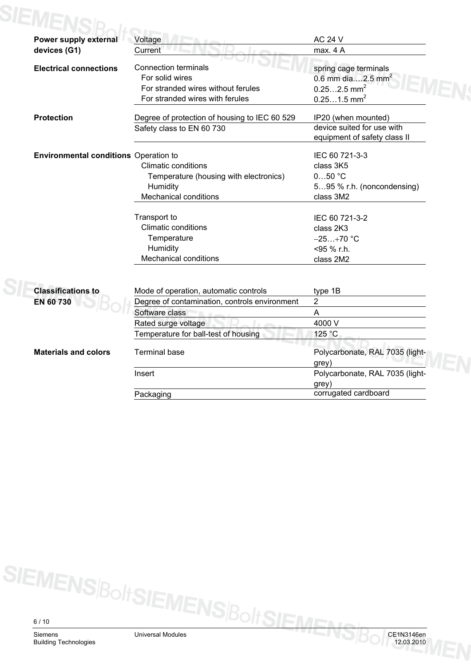| Power supply external                        | Voltage                                       | <b>AC 24 V</b>                  |
|----------------------------------------------|-----------------------------------------------|---------------------------------|
| devices (G1)                                 | Current                                       | max. 4 A                        |
|                                              |                                               |                                 |
| <b>Electrical connections</b>                | <b>Connection terminals</b>                   | spring cage terminals           |
|                                              | For solid wires                               | 0.6 mm dia2.5 mm <sup>2</sup>   |
|                                              | For stranded wires without ferules            | $0.252.5$ mm <sup>2</sup>       |
|                                              | For stranded wires with ferules               | $0.251.5$ mm <sup>2</sup>       |
| <b>Protection</b>                            | Degree of protection of housing to IEC 60 529 | IP20 (when mounted)             |
|                                              | Safety class to EN 60 730                     | device suited for use with      |
|                                              |                                               | equipment of safety class II    |
| <b>Environmental conditions</b> Operation to |                                               | IEC 60 721-3-3                  |
|                                              | <b>Climatic conditions</b>                    | class 3K5                       |
|                                              | Temperature (housing with electronics)        | $050$ °C                        |
|                                              | Humidity                                      | 595 % r.h. (noncondensing)      |
|                                              | <b>Mechanical conditions</b>                  | class 3M2                       |
|                                              |                                               |                                 |
|                                              | Transport to                                  | IEC 60 721-3-2                  |
|                                              | <b>Climatic conditions</b>                    | class 2K3                       |
|                                              | Temperature                                   | $-25+70$ °C                     |
|                                              | Humidity                                      | <95 % r.h.                      |
|                                              | <b>Mechanical conditions</b>                  | class 2M2                       |
|                                              |                                               |                                 |
| <b>Classifications to</b>                    | Mode of operation, automatic controls         | type 1B                         |
| EN 60 730                                    | Degree of contamination, controls environment | $\overline{2}$                  |
|                                              | Software class                                | A                               |
|                                              | Rated surge voltage                           | 4000 V                          |
|                                              | Temperature for ball-test of housing          | 125 °C                          |
| <b>Materials and colors</b>                  | <b>Terminal base</b>                          | Polycarbonate, RAL 7035 (light- |
|                                              |                                               | grey)                           |
|                                              | Insert                                        | Polycarbonate, RAL 7035 (light- |
|                                              |                                               | grey)                           |
|                                              |                                               | corrugated cardboard            |

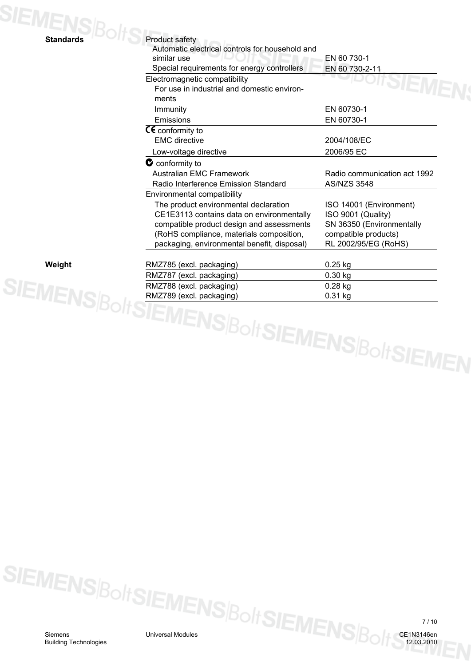| SIEMENS $_{\rm B_O}$<br><b>Standards</b> | Product safety<br>Automatic electrical controls for household and                                                                                              |                                                                            |
|------------------------------------------|----------------------------------------------------------------------------------------------------------------------------------------------------------------|----------------------------------------------------------------------------|
|                                          | similar use<br>Special requirements for energy controllers                                                                                                     | EN 60 730-1                                                                |
|                                          | Electromagnetic compatibility<br>For use in industrial and domestic environ-<br>ments                                                                          | EN 60 730-2-11<br><b>IFMF</b>                                              |
|                                          | Immunity                                                                                                                                                       | EN 60730-1                                                                 |
|                                          | Emissions                                                                                                                                                      | EN 60730-1                                                                 |
|                                          | $\overline{\mathsf{CE}}$ conformity to<br><b>EMC</b> directive                                                                                                 | 2004/108/EC                                                                |
|                                          | Low-voltage directive                                                                                                                                          | 2006/95 EC                                                                 |
|                                          | $\bullet$ conformity to<br><b>Australian EMC Framework</b><br>Radio Interference Emission Standard                                                             | Radio communication act 1992<br><b>AS/NZS 3548</b>                         |
|                                          | Environmental compatibility<br>The product environmental declaration<br>CE1E3113 contains data on environmentally<br>compatible product design and assessments | ISO 14001 (Environment)<br>ISO 9001 (Quality)<br>SN 36350 (Environmentally |
|                                          | (RoHS compliance, materials composition,<br>packaging, environmental benefit, disposal)                                                                        | compatible products)<br>RL 2002/95/EG (RoHS)                               |
| Weight                                   | RMZ785 (excl. packaging)                                                                                                                                       | $0.25$ kg                                                                  |
|                                          | RMZ787 (excl. packaging)                                                                                                                                       | $0.30$ kg                                                                  |
|                                          |                                                                                                                                                                |                                                                            |
|                                          | SIEMENS BoltSIEMENS BoltSIEMENS BoltSIEMEN                                                                                                                     |                                                                            |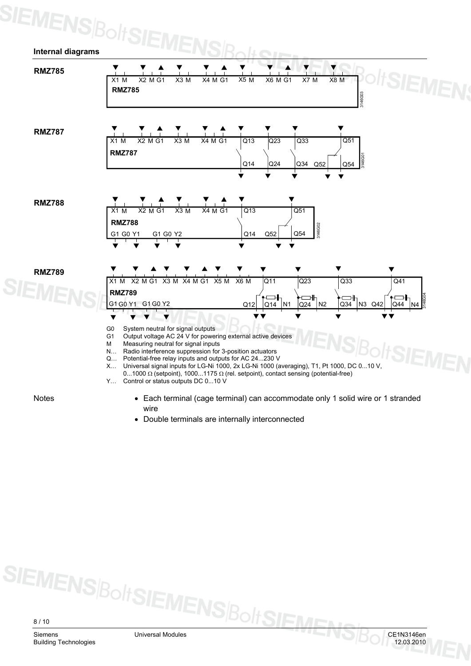

- 
- wire Double terminals are internally interconnected

8 / 10 Siemens CE1N3146en Universal Modules CE2N3146en CE1N3146en Building Technologies 12.03.2010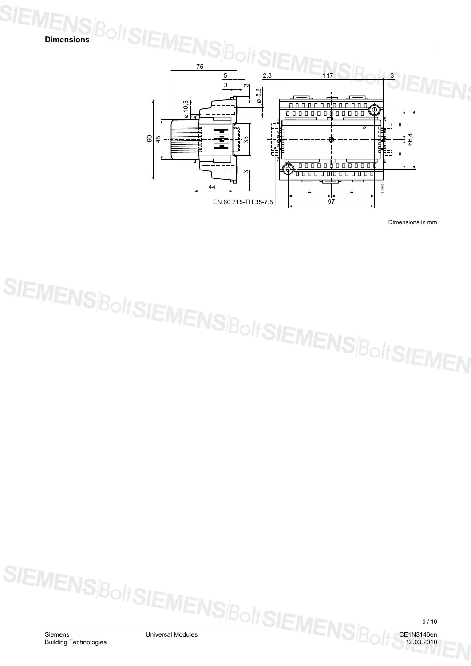

Dimensions in mm





Building Technologies 12.03.2010